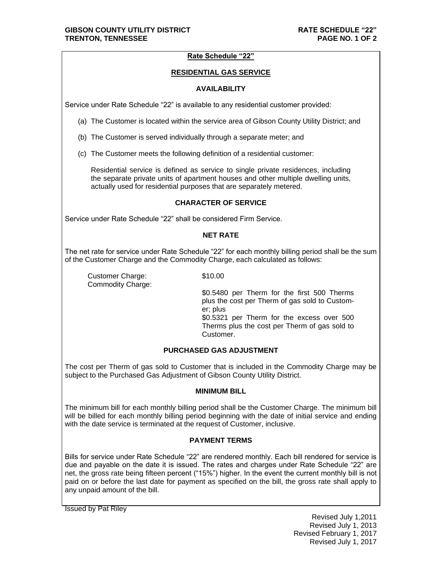# **Rate Schedule "22"**

## **RESIDENTIAL GAS SERVICE**

### **AVAILABILITY**

Service under Rate Schedule "22" is available to any residential customer provided:

- (a) The Customer is located within the service area of Gibson County Utility District; and
- (b) The Customer is served individually through a separate meter; and
- (c) The Customer meets the following definition of a residential customer:

Residential service is defined as service to single private residences, including the separate private units of apartment houses and other multiple dwelling units, actually used for residential purposes that are separately metered.

#### **CHARACTER OF SERVICE**

Service under Rate Schedule "22" shall be considered Firm Service.

## **NET RATE**

The net rate for service under Rate Schedule "22" for each monthly billing period shall be the sum of the Customer Charge and the Commodity Charge, each calculated as follows:

Customer Charge: \$10.00 Commodity Charge:

\$0.5480 per Therm for the first 500 Therms plus the cost per Therm of gas sold to Customer; plus \$0.5321 per Therm for the excess over 500 Therms plus the cost per Therm of gas sold to Customer.

## **PURCHASED GAS ADJUSTMENT**

The cost per Therm of gas sold to Customer that is included in the Commodity Charge may be subject to the Purchased Gas Adjustment of Gibson County Utility District.

#### **MINIMUM BILL**

The minimum bill for each monthly billing period shall be the Customer Charge. The minimum bill will be billed for each monthly billing period beginning with the date of initial service and ending with the date service is terminated at the request of Customer, inclusive.

# **PAYMENT TERMS**

Bills for service under Rate Schedule "22" are rendered monthly. Each bill rendered for service is due and payable on the date it is issued. The rates and charges under Rate Schedule "22" are net, the gross rate being fifteen percent ("15%") higher. In the event the current monthly bill is not paid on or before the last date for payment as specified on the bill, the gross rate shall apply to any unpaid amount of the bill.

Issued by Pat Riley

Revised July 1,2011 Revised July 1, 2013 Revised February 1, 2017 Revised July 1, 2017